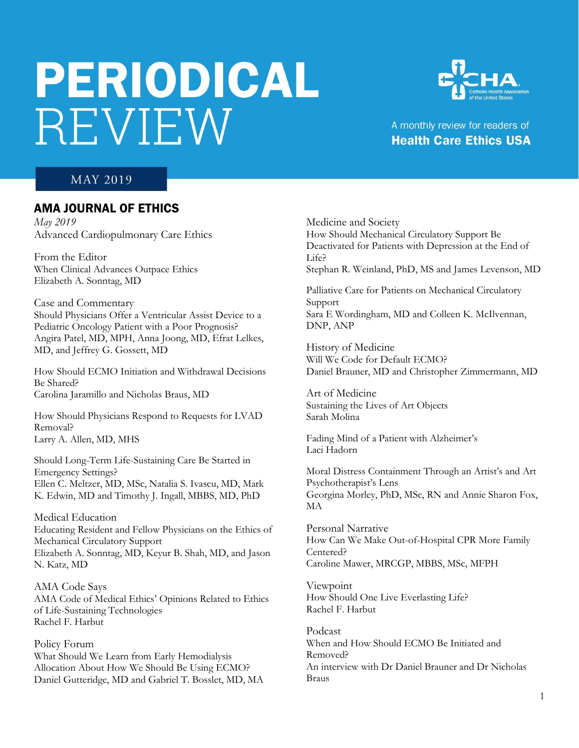# **PERIODICAL** REVIEW



# A monthly review for readers of **Health Care Ethics USA**

### **MAY 2019**

# AMA JOURNAL OF ETHICS

*May 2019* Advanced Cardiopulmonary Care Ethics

From the Editor When Clinical Advances Outpace Ethics Elizabeth A. Sonntag, MD

Case and Commentary Should Physicians Offer a Ventricular Assist Device to a Pediatric Oncology Patient with a Poor Prognosis? Angira Patel, MD, MPH, Anna Joong, MD, Efrat Lelkes, MD, and Jeffrey G. Gossett, MD

How Should ECMO Initiation and Withdrawal Decisions Be Shared? Carolina Jaramillo and Nicholas Braus, MD

How Should Physicians Respond to Requests for LVAD Removal? Larry A. Allen, MD, MHS

Should Long-Term Life-Sustaining Care Be Started in Emergency Settings? Ellen C. Meltzer, MD, MSc, Natalia S. Ivascu, MD, Mark K. Edwin, MD and Timothy J. Ingall, MBBS, MD, PhD

Medical Education Educating Resident and Fellow Physicians on the Ethics of Mechanical Circulatory Support Elizabeth A. Sonntag, MD, Keyur B. Shah, MD, and Jason N. Katz, MD

AMA Code Says AMA Code of Medical Ethics' Opinions Related to Ethics of Life-Sustaining Technologies Rachel F. Harbut

Policy Forum What Should We Learn from Early Hemodialysis Allocation About How We Should Be Using ECMO? Daniel Gutteridge, MD and Gabriel T. Bosslet, MD, MA

Medicine and Society How Should Mechanical Circulatory Support Be Deactivated for Patients with Depression at the End of Life? Stephan R. Weinland, PhD, MS and James Levenson, MD

Palliative Care for Patients on Mechanical Circulatory Support Sara E Wordingham, MD and Colleen K. McIlvennan, DNP, ANP

History of Medicine Will We Code for Default ECMO? Daniel Brauner, MD and Christopher Zimmermann, MD

Art of Medicine Sustaining the Lives of Art Objects Sarah Molina

Fading Mind of a Patient with Alzheimer's Laci Hadorn

Moral Distress Containment Through an Artist's and Art Psychotherapist's Lens Georgina Morley, PhD, MSc, RN and Annie Sharon Fox, MA

Personal Narrative How Can We Make Out-of-Hospital CPR More Family Centered? Caroline Mawer, MRCGP, MBBS, MSc, MFPH

Viewpoint How Should One Live Everlasting Life? Rachel F. Harbut

Podcast When and How Should ECMO Be Initiated and Removed? An interview with Dr Daniel Brauner and Dr Nicholas Braus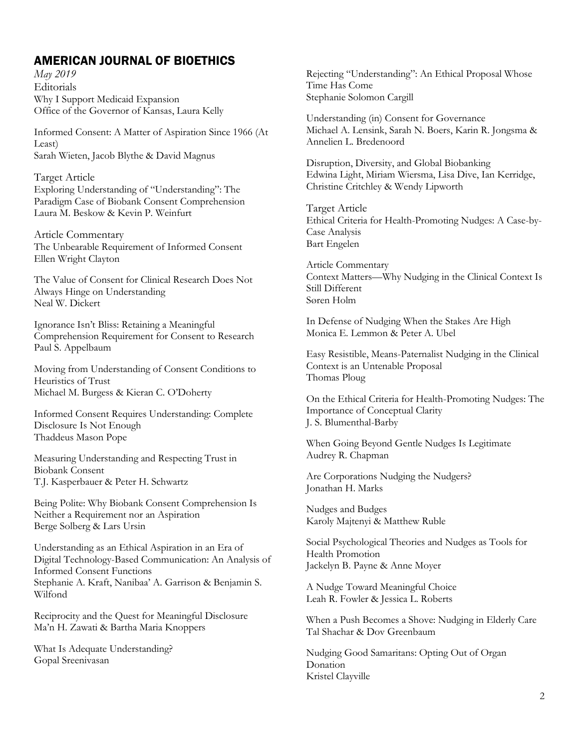# AMERICAN JOURNAL OF BIOETHICS

*May 2019* Editorials Why I Support Medicaid Expansion Office of the Governor of Kansas, Laura Kelly

Informed Consent: A Matter of Aspiration Since 1966 (At Least) Sarah Wieten, Jacob Blythe & David Magnus

Target Article Exploring Understanding of "Understanding": The Paradigm Case of Biobank Consent Comprehension Laura M. Beskow & Kevin P. Weinfurt

Article Commentary The Unbearable Requirement of Informed Consent Ellen Wright Clayton

The Value of Consent for Clinical Research Does Not Always Hinge on Understanding Neal W. Dickert

Ignorance Isn't Bliss: Retaining a Meaningful Comprehension Requirement for Consent to Research Paul S. Appelbaum

Moving from Understanding of Consent Conditions to Heuristics of Trust Michael M. Burgess & Kieran C. O'Doherty

Informed Consent Requires Understanding: Complete Disclosure Is Not Enough Thaddeus Mason Pope

Measuring Understanding and Respecting Trust in Biobank Consent T.J. Kasperbauer & Peter H. Schwartz

Being Polite: Why Biobank Consent Comprehension Is Neither a Requirement nor an Aspiration Berge Solberg & Lars Ursin

Understanding as an Ethical Aspiration in an Era of Digital Technology-Based Communication: An Analysis of Informed Consent Functions Stephanie A. Kraft, Nanibaa' A. Garrison & Benjamin S. Wilfond

Reciprocity and the Quest for Meaningful Disclosure Ma'n H. Zawati & Bartha Maria Knoppers

What Is Adequate Understanding? Gopal Sreenivasan

Rejecting "Understanding": An Ethical Proposal Whose Time Has Come Stephanie Solomon Cargill

Understanding (in) Consent for Governance Michael A. Lensink, Sarah N. Boers, Karin R. Jongsma & Annelien L. Bredenoord

Disruption, Diversity, and Global Biobanking Edwina Light, Miriam Wiersma, Lisa Dive, Ian Kerridge, Christine Critchley & Wendy Lipworth

Target Article Ethical Criteria for Health-Promoting Nudges: A Case-by-Case Analysis Bart Engelen

Article Commentary Context Matters—Why Nudging in the Clinical Context Is Still Different Søren Holm

In Defense of Nudging When the Stakes Are High Monica E. Lemmon & Peter A. Ubel

Easy Resistible, Means-Paternalist Nudging in the Clinical Context is an Untenable Proposal Thomas Ploug

On the Ethical Criteria for Health-Promoting Nudges: The Importance of Conceptual Clarity J. S. Blumenthal-Barby

When Going Beyond Gentle Nudges Is Legitimate Audrey R. Chapman

Are Corporations Nudging the Nudgers? Jonathan H. Marks

Nudges and Budges Karoly Majtenyi & Matthew Ruble

Social Psychological Theories and Nudges as Tools for Health Promotion Jackelyn B. Payne & Anne Moyer

A Nudge Toward Meaningful Choice Leah R. Fowler & Jessica L. Roberts

When a Push Becomes a Shove: Nudging in Elderly Care Tal Shachar & Dov Greenbaum

Nudging Good Samaritans: Opting Out of Organ Donation Kristel Clayville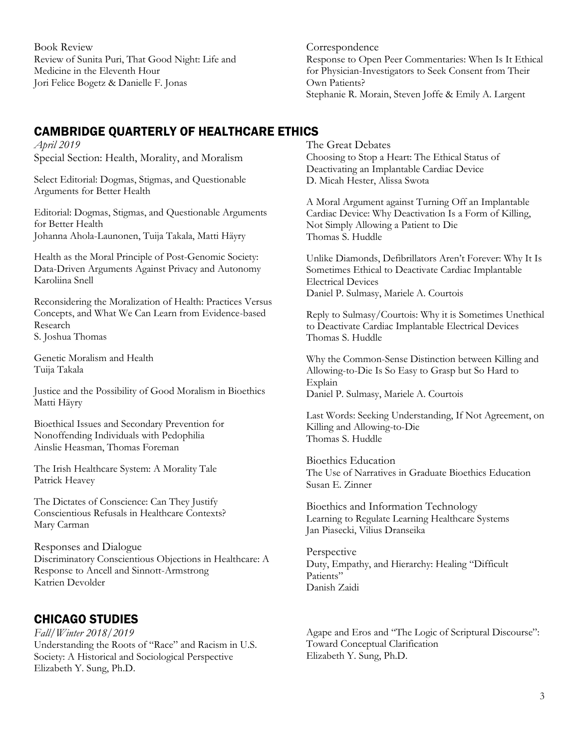Book Review Review of Sunita Puri, That Good Night: Life and Medicine in the Eleventh Hour Jori Felice Bogetz & Danielle F. Jonas

# CAMBRIDGE QUARTERLY OF HEALTHCARE ETHICS

*April 2019* Special Section: Health, Morality, and Moralism

Select Editorial: Dogmas, Stigmas, and Questionable Arguments for Better Health

Editorial: Dogmas, Stigmas, and Questionable Arguments for Better Health Johanna Ahola-Launonen, Tuija Takala, Matti Häyry

Health as the Moral Principle of Post-Genomic Society: Data-Driven Arguments Against Privacy and Autonomy Karoliina Snell

Reconsidering the Moralization of Health: Practices Versus Concepts, and What We Can Learn from Evidence-based Research S. Joshua Thomas

Genetic Moralism and Health Tuija Takala

Justice and the Possibility of Good Moralism in Bioethics Matti Häyry

Bioethical Issues and Secondary Prevention for Nonoffending Individuals with Pedophilia Ainslie Heasman, Thomas Foreman

The Irish Healthcare System: A Morality Tale Patrick Heavey

The Dictates of Conscience: Can They Justify Conscientious Refusals in Healthcare Contexts? Mary Carman

Responses and Dialogue Discriminatory Conscientious Objections in Healthcare: A Response to Ancell and Sinnott-Armstrong Katrien Devolder

# CHICAGO STUDIES

*Fall/Winter 2018/2019* Understanding the Roots of "Race" and Racism in U.S. Society: A Historical and Sociological Perspective Elizabeth Y. Sung, Ph.D.

The Great Debates Choosing to Stop a Heart: The Ethical Status of Deactivating an Implantable Cardiac Device

Response to Open Peer Commentaries: When Is It Ethical for Physician-Investigators to Seek Consent from Their

Stephanie R. Morain, Steven Joffe & Emily A. Largent

D. Micah Hester, Alissa Swota

Correspondence

Own Patients?

A Moral Argument against Turning Off an Implantable Cardiac Device: Why Deactivation Is a Form of Killing, Not Simply Allowing a Patient to Die Thomas S. Huddle

Unlike Diamonds, Defibrillators Aren't Forever: Why It Is Sometimes Ethical to Deactivate Cardiac Implantable Electrical Devices Daniel P. Sulmasy, Mariele A. Courtois

Reply to Sulmasy/Courtois: Why it is Sometimes Unethical to Deactivate Cardiac Implantable Electrical Devices Thomas S. Huddle

Why the Common-Sense Distinction between Killing and Allowing-to-Die Is So Easy to Grasp but So Hard to Explain Daniel P. Sulmasy, Mariele A. Courtois

Last Words: Seeking Understanding, If Not Agreement, on Killing and Allowing-to-Die Thomas S. Huddle

Bioethics Education The Use of Narratives in Graduate Bioethics Education Susan E. Zinner

Bioethics and Information Technology Learning to Regulate Learning Healthcare Systems Jan Piasecki, Vilius Dranseika

Perspective Duty, Empathy, and Hierarchy: Healing "Difficult Patients" Danish Zaidi

Agape and Eros and "The Logic of Scriptural Discourse": Toward Conceptual Clarification Elizabeth Y. Sung, Ph.D.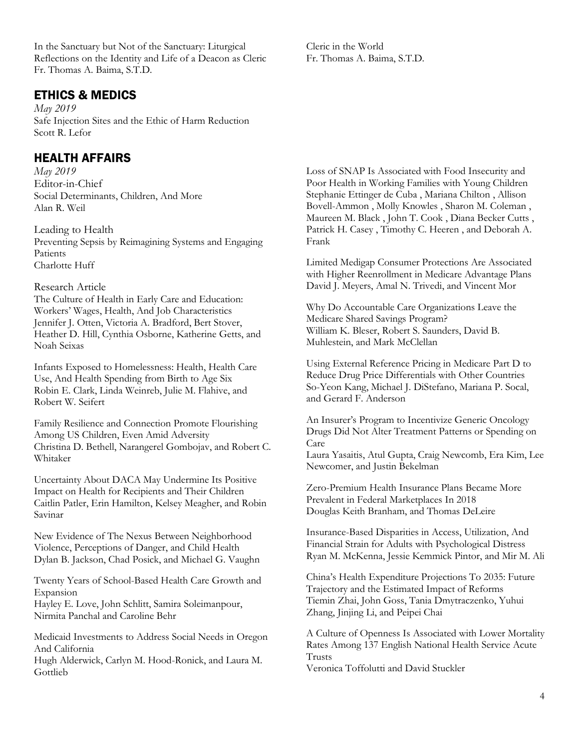In the Sanctuary but Not of the Sanctuary: Liturgical Reflections on the Identity and Life of a Deacon as Cleric Fr. Thomas A. Baima, S.T.D.

## ETHICS & MEDICS

*May 2019*  Safe Injection Sites and the Ethic of Harm Reduction Scott R. Lefor

# HEALTH AFFAIRS

*May 2019*  Editor-in-Chief Social Determinants, Children, And More Alan R. Weil

Leading to Health Preventing Sepsis by Reimagining Systems and Engaging Patients Charlotte Huff

#### Research Article

The Culture of Health in Early Care and Education: Workers' Wages, Health, And Job Characteristics Jennifer J. Otten, Victoria A. Bradford, Bert Stover, Heather D. Hill, Cynthia Osborne, Katherine Getts, and Noah Seixas

Infants Exposed to Homelessness: Health, Health Care Use, And Health Spending from Birth to Age Six Robin E. Clark, Linda Weinreb, Julie M. Flahive, and Robert W. Seifert

Family Resilience and Connection Promote Flourishing Among US Children, Even Amid Adversity Christina D. Bethell, Narangerel Gombojav, and Robert C. Whitaker

Uncertainty About DACA May Undermine Its Positive Impact on Health for Recipients and Their Children Caitlin Patler, Erin Hamilton, Kelsey Meagher, and Robin Savinar

New Evidence of The Nexus Between Neighborhood Violence, Perceptions of Danger, and Child Health Dylan B. Jackson, Chad Posick, and Michael G. Vaughn

Twenty Years of School-Based Health Care Growth and Expansion

Hayley E. Love, John Schlitt, Samira Soleimanpour, Nirmita Panchal and Caroline Behr

Medicaid Investments to Address Social Needs in Oregon And California

Hugh Alderwick, Carlyn M. Hood-Ronick, and Laura M. Gottlieb

Cleric in the World Fr. Thomas A. Baima, S.T.D.

Loss of SNAP Is Associated with Food Insecurity and Poor Health in Working Families with Young Children Stephanie Ettinger de Cuba , Mariana Chilton , Allison Bovell-Ammon , Molly Knowles , Sharon M. Coleman , Maureen M. Black , John T. Cook , Diana Becker Cutts , Patrick H. Casey , Timothy C. Heeren , and Deborah A. Frank

Limited Medigap Consumer Protections Are Associated with Higher Reenrollment in Medicare Advantage Plans David J. Meyers, Amal N. Trivedi, and Vincent Mor

Why Do Accountable Care Organizations Leave the Medicare Shared Savings Program? William K. Bleser, Robert S. Saunders, David B. Muhlestein, and Mark McClellan

Using External Reference Pricing in Medicare Part D to Reduce Drug Price Differentials with Other Countries So-Yeon Kang, Michael J. DiStefano, Mariana P. Socal, and Gerard F. Anderson

An Insurer's Program to Incentivize Generic Oncology Drugs Did Not Alter Treatment Patterns or Spending on Care

Laura Yasaitis, Atul Gupta, Craig Newcomb, Era Kim, Lee Newcomer, and Justin Bekelman

Zero-Premium Health Insurance Plans Became More Prevalent in Federal Marketplaces In 2018 Douglas Keith Branham, and Thomas DeLeire

Insurance-Based Disparities in Access, Utilization, And Financial Strain for Adults with Psychological Distress Ryan M. McKenna, Jessie Kemmick Pintor, and Mir M. Ali

China's Health Expenditure Projections To 2035: Future Trajectory and the Estimated Impact of Reforms Tiemin Zhai, John Goss, Tania Dmytraczenko, Yuhui Zhang, Jinjing Li, and Peipei Chai

A Culture of Openness Is Associated with Lower Mortality Rates Among 137 English National Health Service Acute Trusts Veronica Toffolutti and David Stuckler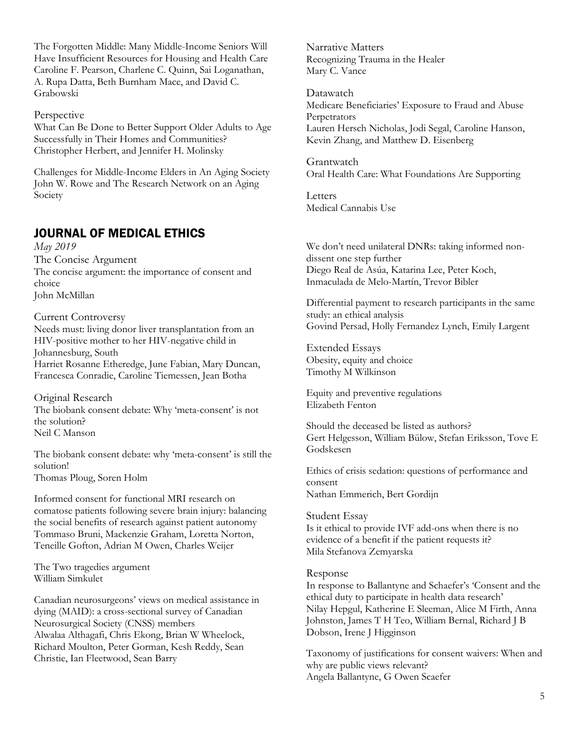The Forgotten Middle: Many Middle-Income Seniors Will Have Insufficient Resources for Housing and Health Care Caroline F. Pearson, Charlene C. Quinn, Sai Loganathan, A. Rupa Datta, Beth Burnham Mace, and David C. Grabowski

#### Perspective

What Can Be Done to Better Support Older Adults to Age Successfully in Their Homes and Communities? Christopher Herbert, and Jennifer H. Molinsky

Challenges for Middle-Income Elders in An Aging Society John W. Rowe and The Research Network on an Aging Society

# JOURNAL OF MEDICAL ETHICS

*May 2019*  The Concise Argument The concise argument: the importance of consent and choice John McMillan

Current Controversy Needs must: living donor liver transplantation from an HIV-positive mother to her HIV-negative child in Johannesburg, South Harriet Rosanne Etheredge, June Fabian, Mary Duncan, Francesca Conradie, Caroline Tiemessen, Jean Botha

Original Research The biobank consent debate: Why 'meta-consent' is not the solution? Neil C Manson

The biobank consent debate: why 'meta-consent' is still the solution! Thomas Ploug, Soren Holm

Informed consent for functional MRI research on comatose patients following severe brain injury: balancing the social benefits of research against patient autonomy Tommaso Bruni, Mackenzie Graham, Loretta Norton, Teneille Gofton, Adrian M Owen, Charles Weijer

The Two tragedies argument William Simkulet

Canadian neurosurgeons' views on medical assistance in dying (MAID): a cross-sectional survey of Canadian Neurosurgical Society (CNSS) members Alwalaa Althagafi, Chris Ekong, Brian W Wheelock, Richard Moulton, Peter Gorman, Kesh Reddy, Sean Christie, Ian Fleetwood, Sean Barry

Narrative Matters Recognizing Trauma in the Healer Mary C. Vance

Datawatch Medicare Beneficiaries' Exposure to Fraud and Abuse Perpetrators Lauren Hersch Nicholas, Jodi Segal, Caroline Hanson, Kevin Zhang, and Matthew D. Eisenberg

Grantwatch Oral Health Care: What Foundations Are Supporting

**Letters** Medical Cannabis Use

We don't need unilateral DNRs: taking informed nondissent one step further Diego Real de Asúa, Katarina Lee, Peter Koch, Inmaculada de Melo-Martín, Trevor Bibler

Differential payment to research participants in the same study: an ethical analysis Govind Persad, Holly Fernandez Lynch, Emily Largent

Extended Essays Obesity, equity and choice Timothy M Wilkinson

Equity and preventive regulations Elizabeth Fenton

Should the deceased be listed as authors? Gert Helgesson, William Bülow, Stefan Eriksson, Tove E Godskesen

Ethics of crisis sedation: questions of performance and consent Nathan Emmerich, Bert Gordijn

#### Student Essay

Is it ethical to provide IVF add-ons when there is no evidence of a benefit if the patient requests it? Mila Stefanova Zemyarska

#### Response

In response to Ballantyne and Schaefer's 'Consent and the ethical duty to participate in health data research' Nilay Hepgul, Katherine E Sleeman, Alice M Firth, Anna Johnston, James T H Teo, William Bernal, Richard J B Dobson, Irene J Higginson

Taxonomy of justifications for consent waivers: When and why are public views relevant? Angela Ballantyne, G Owen Scaefer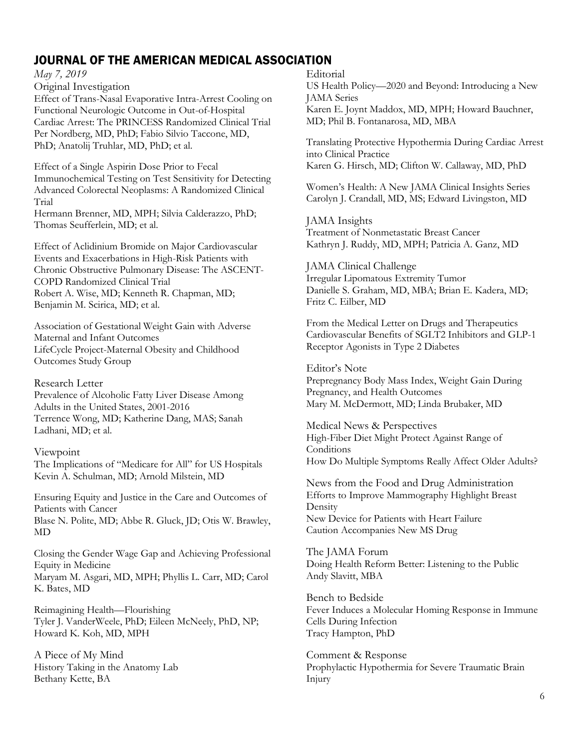# JOURNAL OF THE AMERICAN MEDICAL ASSOCIATION

*May 7, 2019* Original Investigation

Effect of Trans-Nasal Evaporative Intra-Arrest Cooling on Functional Neurologic Outcome in Out-of-Hospital Cardiac Arrest: The PRINCESS Randomized Clinical Trial Per Nordberg, MD, PhD; Fabio Silvio Taccone, MD, PhD; Anatolij Truhlar, MD, PhD; et al.

Effect of a Single Aspirin Dose Prior to Fecal Immunochemical Testing on Test Sensitivity for Detecting Advanced Colorectal Neoplasms: A Randomized Clinical Trial

Hermann Brenner, MD, MPH; Silvia Calderazzo, PhD; Thomas Seufferlein, MD; et al.

Effect of Aclidinium Bromide on Major Cardiovascular Events and Exacerbations in High-Risk Patients with Chronic Obstructive Pulmonary Disease: The ASCENT-COPD Randomized Clinical Trial Robert A. Wise, MD; Kenneth R. Chapman, MD; Benjamin M. Scirica, MD; et al.

Association of Gestational Weight Gain with Adverse Maternal and Infant Outcomes LifeCycle Project-Maternal Obesity and Childhood Outcomes Study Group

Research Letter

Prevalence of Alcoholic Fatty Liver Disease Among Adults in the United States, 2001-2016 Terrence Wong, MD; Katherine Dang, MAS; Sanah Ladhani, MD; et al.

Viewpoint The Implications of "Medicare for All" for US Hospitals Kevin A. Schulman, MD; Arnold Milstein, MD

Ensuring Equity and Justice in the Care and Outcomes of Patients with Cancer Blase N. Polite, MD; Abbe R. Gluck, JD; Otis W. Brawley, MD

Closing the Gender Wage Gap and Achieving Professional Equity in Medicine Maryam M. Asgari, MD, MPH; Phyllis L. Carr, MD; Carol K. Bates, MD

Reimagining Health—Flourishing Tyler J. VanderWeele, PhD; Eileen McNeely, PhD, NP; Howard K. Koh, MD, MPH

A Piece of My Mind History Taking in the Anatomy Lab Bethany Kette, BA

Editorial

US Health Policy—2020 and Beyond: Introducing a New JAMA Series Karen E. Joynt Maddox, MD, MPH; Howard Bauchner, MD; Phil B. Fontanarosa, MD, MBA

Translating Protective Hypothermia During Cardiac Arrest into Clinical Practice Karen G. Hirsch, MD; Clifton W. Callaway, MD, PhD

Women's Health: A New JAMA Clinical Insights Series Carolyn J. Crandall, MD, MS; Edward Livingston, MD

JAMA Insights Treatment of Nonmetastatic Breast Cancer Kathryn J. Ruddy, MD, MPH; Patricia A. Ganz, MD

JAMA Clinical Challenge Irregular Lipomatous Extremity Tumor Danielle S. Graham, MD, MBA; Brian E. Kadera, MD; Fritz C. Eilber, MD

From the Medical Letter on Drugs and Therapeutics Cardiovascular Benefits of SGLT2 Inhibitors and GLP-1 Receptor Agonists in Type 2 Diabetes

Editor's Note Prepregnancy Body Mass Index, Weight Gain During Pregnancy, and Health Outcomes Mary M. McDermott, MD; Linda Brubaker, MD

Medical News & Perspectives High-Fiber Diet Might Protect Against Range of **Conditions** How Do Multiple Symptoms Really Affect Older Adults?

News from the Food and Drug Administration Efforts to Improve Mammography Highlight Breast Density New Device for Patients with Heart Failure Caution Accompanies New MS Drug

The JAMA Forum Doing Health Reform Better: Listening to the Public Andy Slavitt, MBA

Bench to Bedside Fever Induces a Molecular Homing Response in Immune Cells During Infection Tracy Hampton, PhD

Comment & Response Prophylactic Hypothermia for Severe Traumatic Brain Injury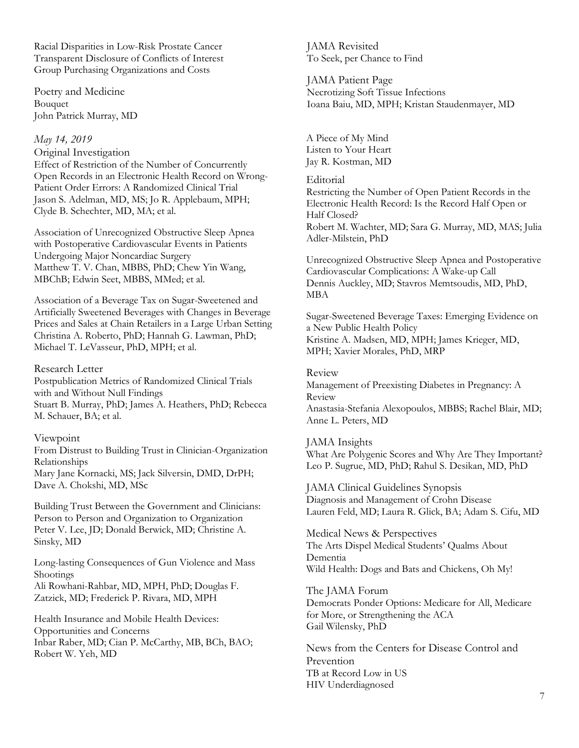Racial Disparities in Low-Risk Prostate Cancer Transparent Disclosure of Conflicts of Interest Group Purchasing Organizations and Costs

Poetry and Medicine Bouquet John Patrick Murray, MD

#### *May 14, 2019*

#### Original Investigation

Effect of Restriction of the Number of Concurrently Open Records in an Electronic Health Record on Wrong-Patient Order Errors: A Randomized Clinical Trial Jason S. Adelman, MD, MS; Jo R. Applebaum, MPH; Clyde B. Schechter, MD, MA; et al.

Association of Unrecognized Obstructive Sleep Apnea with Postoperative Cardiovascular Events in Patients Undergoing Major Noncardiac Surgery Matthew T. V. Chan, MBBS, PhD; Chew Yin Wang, MBChB; Edwin Seet, MBBS, MMed; et al.

Association of a Beverage Tax on Sugar-Sweetened and Artificially Sweetened Beverages with Changes in Beverage Prices and Sales at Chain Retailers in a Large Urban Setting Christina A. Roberto, PhD; Hannah G. Lawman, PhD; Michael T. LeVasseur, PhD, MPH; et al.

#### Research Letter

Postpublication Metrics of Randomized Clinical Trials with and Without Null Findings Stuart B. Murray, PhD; James A. Heathers, PhD; Rebecca M. Schauer, BA; et al.

#### Viewpoint

From Distrust to Building Trust in Clinician-Organization Relationships Mary Jane Kornacki, MS; Jack Silversin, DMD, DrPH; Dave A. Chokshi, MD, MSc

Building Trust Between the Government and Clinicians: Person to Person and Organization to Organization Peter V. Lee, JD; Donald Berwick, MD; Christine A. Sinsky, MD

Long-lasting Consequences of Gun Violence and Mass Shootings Ali Rowhani-Rahbar, MD, MPH, PhD; Douglas F.

Zatzick, MD; Frederick P. Rivara, MD, MPH

Health Insurance and Mobile Health Devices: Opportunities and Concerns Inbar Raber, MD; Cian P. McCarthy, MB, BCh, BAO; Robert W. Yeh, MD

JAMA Revisited To Seek, per Chance to Find

JAMA Patient Page Necrotizing Soft Tissue Infections Ioana Baiu, MD, MPH; Kristan Staudenmayer, MD

A Piece of My Mind Listen to Your Heart Jay R. Kostman, MD

Editorial

Restricting the Number of Open Patient Records in the Electronic Health Record: Is the Record Half Open or Half Closed? Robert M. Wachter, MD; Sara G. Murray, MD, MAS; Julia Adler-Milstein, PhD

Unrecognized Obstructive Sleep Apnea and Postoperative Cardiovascular Complications: A Wake-up Call Dennis Auckley, MD; Stavros Memtsoudis, MD, PhD, MBA

Sugar-Sweetened Beverage Taxes: Emerging Evidence on a New Public Health Policy Kristine A. Madsen, MD, MPH; James Krieger, MD, MPH; Xavier Morales, PhD, MRP

#### Review

Management of Preexisting Diabetes in Pregnancy: A Review Anastasia-Stefania Alexopoulos, MBBS; Rachel Blair, MD; Anne L. Peters, MD

#### JAMA Insights

What Are Polygenic Scores and Why Are They Important? Leo P. Sugrue, MD, PhD; Rahul S. Desikan, MD, PhD

JAMA Clinical Guidelines Synopsis Diagnosis and Management of Crohn Disease Lauren Feld, MD; Laura R. Glick, BA; Adam S. Cifu, MD

Medical News & Perspectives The Arts Dispel Medical Students' Qualms About Dementia Wild Health: Dogs and Bats and Chickens, Oh My!

The JAMA Forum Democrats Ponder Options: Medicare for All, Medicare for More, or Strengthening the ACA Gail Wilensky, PhD

News from the Centers for Disease Control and Prevention TB at Record Low in US HIV Underdiagnosed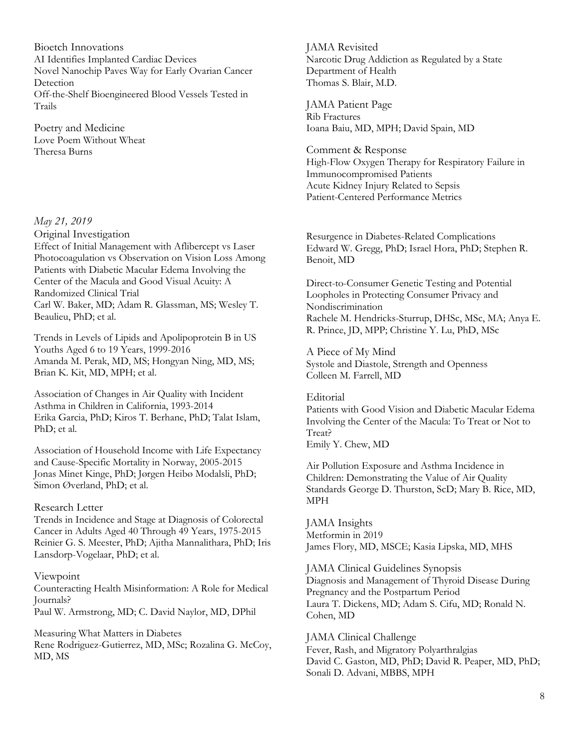Bioetch Innovations AI Identifies Implanted Cardiac Devices Novel Nanochip Paves Way for Early Ovarian Cancer **Detection** Off-the-Shelf Bioengineered Blood Vessels Tested in Trails

Poetry and Medicine Love Poem Without Wheat Theresa Burns

#### *May 21, 2019*

Original Investigation Effect of Initial Management with Aflibercept vs Laser Photocoagulation vs Observation on Vision Loss Among Patients with Diabetic Macular Edema Involving the Center of the Macula and Good Visual Acuity: A Randomized Clinical Trial Carl W. Baker, MD; Adam R. Glassman, MS; Wesley T. Beaulieu, PhD; et al.

Trends in Levels of Lipids and Apolipoprotein B in US Youths Aged 6 to 19 Years, 1999-2016 Amanda M. Perak, MD, MS; Hongyan Ning, MD, MS; Brian K. Kit, MD, MPH; et al.

Association of Changes in Air Quality with Incident Asthma in Children in California, 1993-2014 Erika Garcia, PhD; Kiros T. Berhane, PhD; Talat Islam, PhD; et al.

Association of Household Income with Life Expectancy and Cause-Specific Mortality in Norway, 2005-2015 Jonas Minet Kinge, PhD; Jørgen Heibø Modalsli, PhD; Simon Øverland, PhD; et al.

#### Research Letter

Trends in Incidence and Stage at Diagnosis of Colorectal Cancer in Adults Aged 40 Through 49 Years, 1975-2015 Reinier G. S. Meester, PhD; Ajitha Mannalithara, PhD; Iris Lansdorp-Vogelaar, PhD; et al.

#### Viewpoint

Counteracting Health Misinformation: A Role for Medical Journals? Paul W. Armstrong, MD; C. David Naylor, MD, DPhil

Measuring What Matters in Diabetes Rene Rodriguez-Gutierrez, MD, MSc; Rozalina G. McCoy, MD, MS

JAMA Revisited Narcotic Drug Addiction as Regulated by a State Department of Health Thomas S. Blair, M.D.

JAMA Patient Page Rib Fractures Ioana Baiu, MD, MPH; David Spain, MD

Comment & Response High-Flow Oxygen Therapy for Respiratory Failure in Immunocompromised Patients Acute Kidney Injury Related to Sepsis Patient-Centered Performance Metrics

Resurgence in Diabetes-Related Complications Edward W. Gregg, PhD; Israel Hora, PhD; Stephen R. Benoit, MD

Direct-to-Consumer Genetic Testing and Potential Loopholes in Protecting Consumer Privacy and Nondiscrimination Rachele M. Hendricks-Sturrup, DHSc, MSc, MA; Anya E. R. Prince, JD, MPP; Christine Y. Lu, PhD, MSc

A Piece of My Mind Systole and Diastole, Strength and Openness Colleen M. Farrell, MD

**Editorial** Patients with Good Vision and Diabetic Macular Edema Involving the Center of the Macula: To Treat or Not to Treat? Emily Y. Chew, MD

Air Pollution Exposure and Asthma Incidence in Children: Demonstrating the Value of Air Quality Standards George D. Thurston, ScD; Mary B. Rice, MD, MPH

JAMA Insights Metformin in 2019 James Flory, MD, MSCE; Kasia Lipska, MD, MHS

JAMA Clinical Guidelines Synopsis Diagnosis and Management of Thyroid Disease During Pregnancy and the Postpartum Period Laura T. Dickens, MD; Adam S. Cifu, MD; Ronald N. Cohen, MD

JAMA Clinical Challenge Fever, Rash, and Migratory Polyarthralgias David C. Gaston, MD, PhD; David R. Peaper, MD, PhD; Sonali D. Advani, MBBS, MPH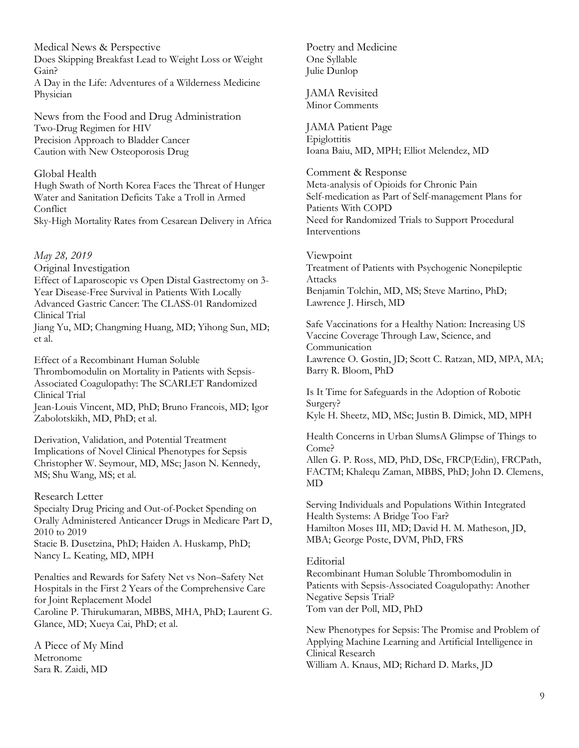Medical News & Perspective Does Skipping Breakfast Lead to Weight Loss or Weight Gain? A Day in the Life: Adventures of a Wilderness Medicine Physician

News from the Food and Drug Administration Two-Drug Regimen for HIV Precision Approach to Bladder Cancer Caution with New Osteoporosis Drug

#### Global Health

Hugh Swath of North Korea Faces the Threat of Hunger Water and Sanitation Deficits Take a Troll in Armed **Conflict** 

Sky-High Mortality Rates from Cesarean Delivery in Africa

*May 28, 2019*

Original Investigation

Effect of Laparoscopic vs Open Distal Gastrectomy on 3- Year Disease-Free Survival in Patients With Locally Advanced Gastric Cancer: The CLASS-01 Randomized Clinical Trial

Jiang Yu, MD; Changming Huang, MD; Yihong Sun, MD; et al.

Effect of a Recombinant Human Soluble Thrombomodulin on Mortality in Patients with Sepsis-Associated Coagulopathy: The SCARLET Randomized Clinical Trial Jean-Louis Vincent, MD, PhD; Bruno Francois, MD; Igor

Zabolotskikh, MD, PhD; et al.

Derivation, Validation, and Potential Treatment Implications of Novel Clinical Phenotypes for Sepsis Christopher W. Seymour, MD, MSc; Jason N. Kennedy, MS; Shu Wang, MS; et al.

#### Research Letter

Specialty Drug Pricing and Out-of-Pocket Spending on Orally Administered Anticancer Drugs in Medicare Part D, 2010 to 2019 Stacie B. Dusetzina, PhD; Haiden A. Huskamp, PhD; Nancy L. Keating, MD, MPH

Penalties and Rewards for Safety Net vs Non–Safety Net Hospitals in the First 2 Years of the Comprehensive Care for Joint Replacement Model Caroline P. Thirukumaran, MBBS, MHA, PhD; Laurent G. Glance, MD; Xueya Cai, PhD; et al.

A Piece of My Mind Metronome Sara R. Zaidi, MD

Poetry and Medicine One Syllable Julie Dunlop

JAMA Revisited Minor Comments

JAMA Patient Page Epiglottitis Ioana Baiu, MD, MPH; Elliot Melendez, MD

Comment & Response Meta-analysis of Opioids for Chronic Pain Self-medication as Part of Self-management Plans for Patients With COPD Need for Randomized Trials to Support Procedural Interventions

Viewpoint Treatment of Patients with Psychogenic Nonepileptic Attacks Benjamin Tolchin, MD, MS; Steve Martino, PhD; Lawrence J. Hirsch, MD

Safe Vaccinations for a Healthy Nation: Increasing US Vaccine Coverage Through Law, Science, and Communication Lawrence O. Gostin, JD; Scott C. Ratzan, MD, MPA, MA; Barry R. Bloom, PhD

Is It Time for Safeguards in the Adoption of Robotic Surgery?

Kyle H. Sheetz, MD, MSc; Justin B. Dimick, MD, MPH

Health Concerns in Urban SlumsA Glimpse of Things to Come?

Allen G. P. Ross, MD, PhD, DSc, FRCP(Edin), FRCPath, FACTM; Khalequ Zaman, MBBS, PhD; John D. Clemens, MD

Serving Individuals and Populations Within Integrated Health Systems: A Bridge Too Far? Hamilton Moses III, MD; David H. M. Matheson, JD, MBA; George Poste, DVM, PhD, FRS

#### Editorial

Recombinant Human Soluble Thrombomodulin in Patients with Sepsis-Associated Coagulopathy: Another Negative Sepsis Trial? Tom van der Poll, MD, PhD

New Phenotypes for Sepsis: The Promise and Problem of Applying Machine Learning and Artificial Intelligence in Clinical Research William A. Knaus, MD; Richard D. Marks, JD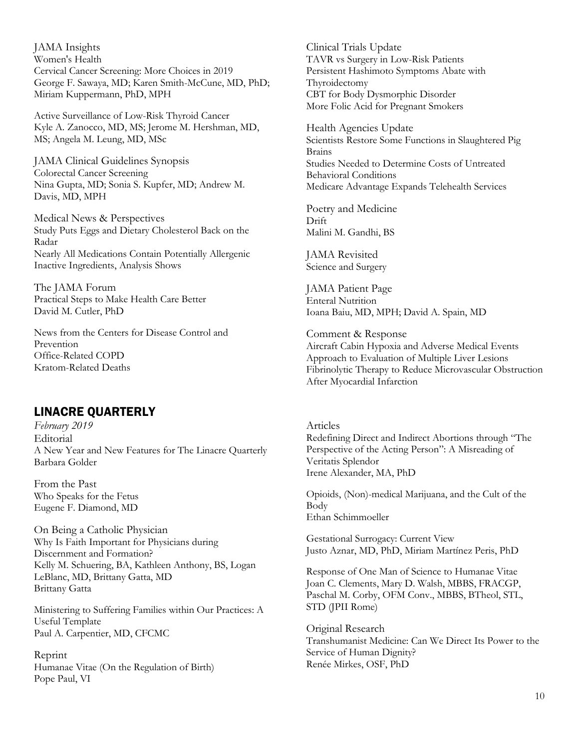JAMA Insights Women's Health Cervical Cancer Screening: More Choices in 2019 George F. Sawaya, MD; Karen Smith-McCune, MD, PhD; Miriam Kuppermann, PhD, MPH

Active Surveillance of Low-Risk Thyroid Cancer Kyle A. Zanocco, MD, MS; Jerome M. Hershman, MD, MS; Angela M. Leung, MD, MSc

JAMA Clinical Guidelines Synopsis Colorectal Cancer Screening Nina Gupta, MD; Sonia S. Kupfer, MD; Andrew M. Davis, MD, MPH

Medical News & Perspectives Study Puts Eggs and Dietary Cholesterol Back on the Radar Nearly All Medications Contain Potentially Allergenic Inactive Ingredients, Analysis Shows

The JAMA Forum Practical Steps to Make Health Care Better David M. Cutler, PhD

News from the Centers for Disease Control and Prevention Office-Related COPD Kratom-Related Deaths

# LINACRE QUARTERLY

*February 2019* **Editorial** A New Year and New Features for The Linacre Quarterly Barbara Golder

From the Past Who Speaks for the Fetus Eugene F. Diamond, MD

On Being a Catholic Physician Why Is Faith Important for Physicians during Discernment and Formation? Kelly M. Schuering, BA, Kathleen Anthony, BS, Logan LeBlanc, MD, Brittany Gatta, MD Brittany Gatta

Ministering to Suffering Families within Our Practices: A Useful Template Paul A. Carpentier, MD, CFCMC

Reprint Humanae Vitae (On the Regulation of Birth) Pope Paul, VI

Clinical Trials Update TAVR vs Surgery in Low-Risk Patients Persistent Hashimoto Symptoms Abate with Thyroidectomy CBT for Body Dysmorphic Disorder More Folic Acid for Pregnant Smokers

Health Agencies Update Scientists Restore Some Functions in Slaughtered Pig Brains Studies Needed to Determine Costs of Untreated Behavioral Conditions Medicare Advantage Expands Telehealth Services

Poetry and Medicine Drift Malini M. Gandhi, BS

JAMA Revisited Science and Surgery

JAMA Patient Page Enteral Nutrition Ioana Baiu, MD, MPH; David A. Spain, MD

Comment & Response Aircraft Cabin Hypoxia and Adverse Medical Events Approach to Evaluation of Multiple Liver Lesions Fibrinolytic Therapy to Reduce Microvascular Obstruction After Myocardial Infarction

Articles Redefining Direct and Indirect Abortions through "The Perspective of the Acting Person": A Misreading of Veritatis Splendor Irene Alexander, MA, PhD

Opioids, (Non)-medical Marijuana, and the Cult of the Body Ethan Schimmoeller

Gestational Surrogacy: Current View Justo Aznar, MD, PhD, Miriam Martínez Peris, PhD

Response of One Man of Science to Humanae Vitae Joan C. Clements, Mary D. Walsh, MBBS, FRACGP, Paschal M. Corby, OFM Conv., MBBS, BTheol, STL, STD (JPII Rome)

Original Research Transhumanist Medicine: Can We Direct Its Power to the Service of Human Dignity? Renée Mirkes, OSF, PhD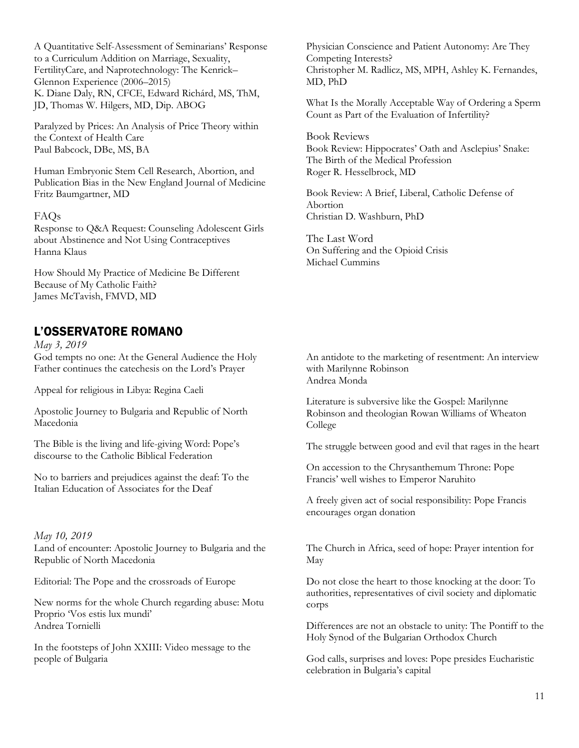A Quantitative Self-Assessment of Seminarians' Response to a Curriculum Addition on Marriage, Sexuality, FertilityCare, and Naprotechnology: The Kenrick– Glennon Experience (2006–2015) K. Diane Daly, RN, CFCE, Edward Richárd, MS, ThM, JD, Thomas W. Hilgers, MD, Dip. ABOG

Paralyzed by Prices: An Analysis of Price Theory within the Context of Health Care Paul Babcock, DBe, MS, BA

Human Embryonic Stem Cell Research, Abortion, and Publication Bias in the New England Journal of Medicine Fritz Baumgartner, MD

#### FAQs

Response to Q&A Request: Counseling Adolescent Girls about Abstinence and Not Using Contraceptives Hanna Klaus

How Should My Practice of Medicine Be Different Because of My Catholic Faith? James McTavish, FMVD, MD

# L'OSSERVATORE ROMANO

*May 3, 2019* God tempts no one: At the General Audience the Holy Father continues the catechesis on the Lord's Prayer

Appeal for religious in Libya: Regina Caeli

Apostolic Journey to Bulgaria and Republic of North Macedonia

The Bible is the living and life-giving Word: Pope's discourse to the Catholic Biblical Federation

No to barriers and prejudices against the deaf: To the Italian Education of Associates for the Deaf

*May 10, 2019* Land of encounter: Apostolic Journey to Bulgaria and the Republic of North Macedonia

Editorial: The Pope and the crossroads of Europe

New norms for the whole Church regarding abuse: Motu Proprio 'Vos estis lux mundi' Andrea Tornielli

In the footsteps of John XXIII: Video message to the people of Bulgaria

Physician Conscience and Patient Autonomy: Are They Competing Interests? Christopher M. Radlicz, MS, MPH, Ashley K. Fernandes, MD, PhD

What Is the Morally Acceptable Way of Ordering a Sperm Count as Part of the Evaluation of Infertility?

Book Reviews Book Review: Hippocrates' Oath and Asclepius' Snake: The Birth of the Medical Profession Roger R. Hesselbrock, MD

Book Review: A Brief, Liberal, Catholic Defense of Abortion Christian D. Washburn, PhD

The Last Word On Suffering and the Opioid Crisis Michael Cummins

An antidote to the marketing of resentment: An interview with Marilynne Robinson Andrea Monda

Literature is subversive like the Gospel: Marilynne Robinson and theologian Rowan Williams of Wheaton College

The struggle between good and evil that rages in the heart

On accession to the Chrysanthemum Throne: Pope Francis' well wishes to Emperor Naruhito

A freely given act of social responsibility: Pope Francis encourages organ donation

The Church in Africa, seed of hope: Prayer intention for May

Do not close the heart to those knocking at the door: To authorities, representatives of civil society and diplomatic corps

Differences are not an obstacle to unity: The Pontiff to the Holy Synod of the Bulgarian Orthodox Church

God calls, surprises and loves: Pope presides Eucharistic celebration in Bulgaria's capital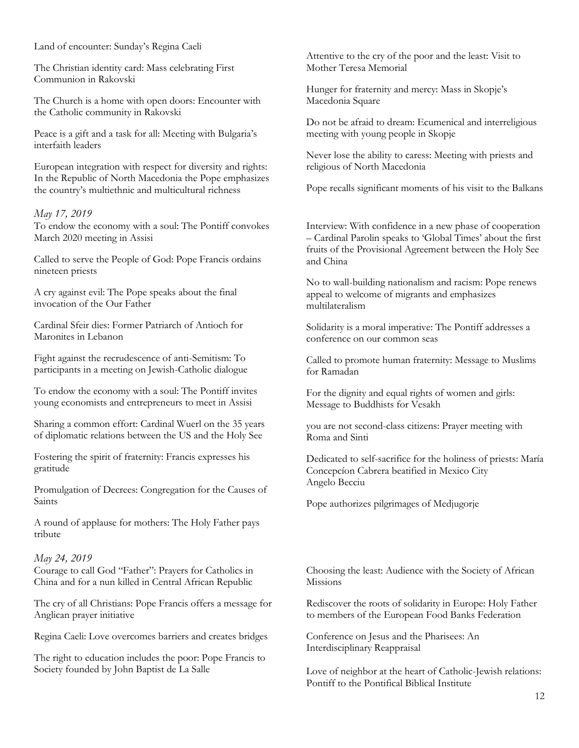Land of encounter: Sunday's Regina Caeli

The Christian identity card: Mass celebrating First Communion in Rakovski

The Church is a home with open doors: Encounter with the Catholic community in Rakovski

Peace is a gift and a task for all: Meeting with Bulgaria's interfaith leaders

European integration with respect for diversity and rights: In the Republic of North Macedonia the Pope emphasizes the country's multiethnic and multicultural richness

#### *May 17, 2019*

To endow the economy with a soul: The Pontiff convokes March 2020 meeting in Assisi

Called to serve the People of God: Pope Francis ordains nineteen priests

A cry against evil: The Pope speaks about the final invocation of the Our Father

Cardinal Sfeir dies: Former Patriarch of Antioch for Maronites in Lebanon

Fight against the recrudescence of anti-Semitism: To participants in a meeting on Jewish-Catholic dialogue

To endow the economy with a soul: The Pontiff invites young economists and entrepreneurs to meet in Assisi

Sharing a common effort: Cardinal Wuerl on the 35 years of diplomatic relations between the US and the Holy See

Fostering the spirit of fraternity: Francis expresses his gratitude

Promulgation of Decrees: Congregation for the Causes of Saints

A round of applause for mothers: The Holy Father pays tribute

#### *May 24, 2019*

Courage to call God "Father": Prayers for Catholics in China and for a nun killed in Central African Republic

The cry of all Christians: Pope Francis offers a message for Anglican prayer initiative

Regina Caeli: Love overcomes barriers and creates bridges

The right to education includes the poor: Pope Francis to Society founded by John Baptist de La Salle

Attentive to the cry of the poor and the least: Visit to Mother Teresa Memorial

Hunger for fraternity and mercy: Mass in Skopje's Macedonia Square

Do not be afraid to dream: Ecumenical and interreligious meeting with young people in Skopje

Never lose the ability to caress: Meeting with priests and religious of North Macedonia

Pope recalls significant moments of his visit to the Balkans

Interview: With confidence in a new phase of cooperation – Cardinal Parolin speaks to 'Global Times' about the first fruits of the Provisional Agreement between the Holy See and China

No to wall-building nationalism and racism: Pope renews appeal to welcome of migrants and emphasizes multilateralism

Solidarity is a moral imperative: The Pontiff addresses a conference on our common seas

Called to promote human fraternity: Message to Muslims for Ramadan

For the dignity and equal rights of women and girls: Message to Buddhists for Vesakh

you are not second-class citizens: Prayer meeting with Roma and Sinti

Dedicated to self-sacrifice for the holiness of priests: María Concepcíon Cabrera beatified in Mexico City Angelo Becciu

Pope authorizes pilgrimages of Medjugorje

Choosing the least: Audience with the Society of African Missions

Rediscover the roots of solidarity in Europe: Holy Father to members of the European Food Banks Federation

Conference on Jesus and the Pharisees: An Interdisciplinary Reappraisal

Love of neighbor at the heart of Catholic-Jewish relations: Pontiff to the Pontifical Biblical Institute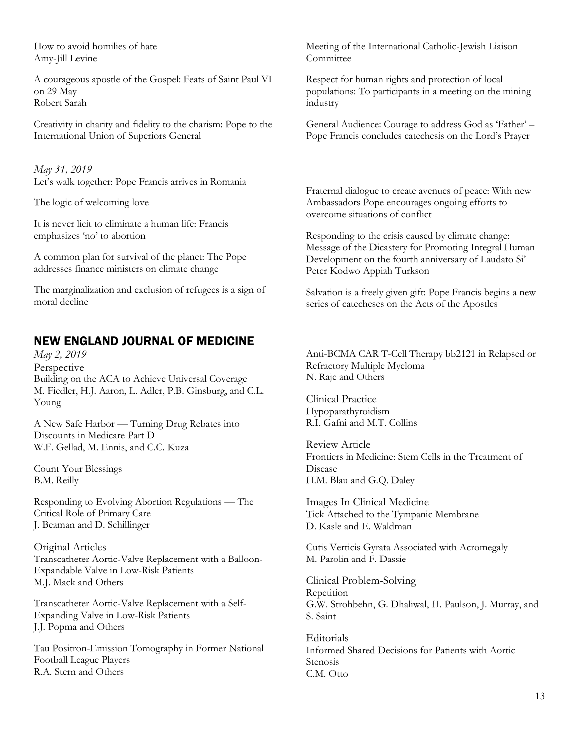How to avoid homilies of hate Amy-Jill Levine

A courageous apostle of the Gospel: Feats of Saint Paul VI on 29 May Robert Sarah

Creativity in charity and fidelity to the charism: Pope to the International Union of Superiors General

*May 31, 2019* Let's walk together: Pope Francis arrives in Romania

The logic of welcoming love

It is never licit to eliminate a human life: Francis emphasizes 'no' to abortion

A common plan for survival of the planet: The Pope addresses finance ministers on climate change

The marginalization and exclusion of refugees is a sign of moral decline

# NEW ENGLAND JOURNAL OF MEDICINE

*May 2, 2019* Perspective Building on the ACA to Achieve Universal Coverage M. Fiedler, H.J. Aaron, L. Adler, P.B. Ginsburg, and C.L. Young

A New Safe Harbor — Turning Drug Rebates into Discounts in Medicare Part D W.F. Gellad, M. Ennis, and C.C. Kuza

Count Your Blessings B.M. Reilly

Responding to Evolving Abortion Regulations — The Critical Role of Primary Care J. Beaman and D. Schillinger

Original Articles Transcatheter Aortic-Valve Replacement with a Balloon-Expandable Valve in Low-Risk Patients M.J. Mack and Others

Transcatheter Aortic-Valve Replacement with a Self-Expanding Valve in Low-Risk Patients J.J. Popma and Others

Tau Positron-Emission Tomography in Former National Football League Players R.A. Stern and Others

Meeting of the International Catholic-Jewish Liaison Committee

Respect for human rights and protection of local populations: To participants in a meeting on the mining industry

General Audience: Courage to address God as 'Father' – Pope Francis concludes catechesis on the Lord's Prayer

Fraternal dialogue to create avenues of peace: With new Ambassadors Pope encourages ongoing efforts to overcome situations of conflict

Responding to the crisis caused by climate change: Message of the Dicastery for Promoting Integral Human Development on the fourth anniversary of Laudato Si' Peter Kodwo Appiah Turkson

Salvation is a freely given gift: Pope Francis begins a new series of catecheses on the Acts of the Apostles

Anti-BCMA CAR T-Cell Therapy bb2121 in Relapsed or Refractory Multiple Myeloma N. Raje and Others

Clinical Practice Hypoparathyroidism R.I. Gafni and M.T. Collins

Review Article Frontiers in Medicine: Stem Cells in the Treatment of Disease H.M. Blau and G.Q. Daley

Images In Clinical Medicine Tick Attached to the Tympanic Membrane D. Kasle and E. Waldman

Cutis Verticis Gyrata Associated with Acromegaly M. Parolin and F. Dassie

Clinical Problem-Solving Repetition G.W. Strohbehn, G. Dhaliwal, H. Paulson, J. Murray, and S. Saint

Editorials Informed Shared Decisions for Patients with Aortic **Stenosis** C.M. Otto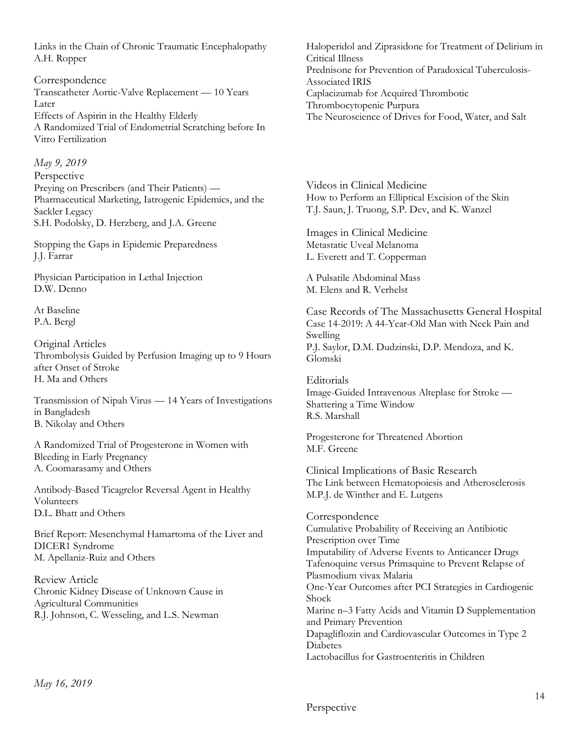Links in the Chain of Chronic Traumatic Encephalopathy A.H. Ropper

Correspondence Transcatheter Aortic-Valve Replacement — 10 Years Later Effects of Aspirin in the Healthy Elderly A Randomized Trial of Endometrial Scratching before In Vitro Fertilization

*May 9, 2019* Perspective Preying on Prescribers (and Their Patients) — Pharmaceutical Marketing, Iatrogenic Epidemics, and the Sackler Legacy S.H. Podolsky, D. Herzberg, and J.A. Greene

Stopping the Gaps in Epidemic Preparedness J.J. Farrar

Physician Participation in Lethal Injection D.W. Denno

At Baseline P.A. Bergl

Original Articles Thrombolysis Guided by Perfusion Imaging up to 9 Hours after Onset of Stroke H. Ma and Others

Transmission of Nipah Virus — 14 Years of Investigations in Bangladesh B. Nikolay and Others

A Randomized Trial of Progesterone in Women with Bleeding in Early Pregnancy A. Coomarasamy and Others

Antibody-Based Ticagrelor Reversal Agent in Healthy Volunteers D.L. Bhatt and Others

Brief Report: Mesenchymal Hamartoma of the Liver and DICER1 Syndrome M. Apellaniz-Ruiz and Others

Review Article Chronic Kidney Disease of Unknown Cause in Agricultural Communities R.J. Johnson, C. Wesseling, and L.S. Newman

Haloperidol and Ziprasidone for Treatment of Delirium in Critical Illness Prednisone for Prevention of Paradoxical Tuberculosis-Associated IRIS Caplacizumab for Acquired Thrombotic Thrombocytopenic Purpura The Neuroscience of Drives for Food, Water, and Salt

Videos in Clinical Medicine How to Perform an Elliptical Excision of the Skin T.J. Saun, J. Truong, S.P. Dev, and K. Wanzel

Images in Clinical Medicine Metastatic Uveal Melanoma L. Everett and T. Copperman

A Pulsatile Abdominal Mass M. Elens and R. Verhelst

Case Records of The Massachusetts General Hospital Case 14-2019: A 44-Year-Old Man with Neck Pain and Swelling P.J. Saylor, D.M. Dudzinski, D.P. Mendoza, and K. Glomski

Editorials Image-Guided Intravenous Alteplase for Stroke — Shattering a Time Window R.S. Marshall

Progesterone for Threatened Abortion M.F. Greene

Clinical Implications of Basic Research The Link between Hematopoiesis and Atherosclerosis M.P.J. de Winther and E. Lutgens

Correspondence Cumulative Probability of Receiving an Antibiotic Prescription over Time Imputability of Adverse Events to Anticancer Drugs Tafenoquine versus Primaquine to Prevent Relapse of Plasmodium vivax Malaria One-Year Outcomes after PCI Strategies in Cardiogenic Shock Marine n–3 Fatty Acids and Vitamin D Supplementation and Primary Prevention Dapagliflozin and Cardiovascular Outcomes in Type 2 Diabetes Lactobacillus for Gastroenteritis in Children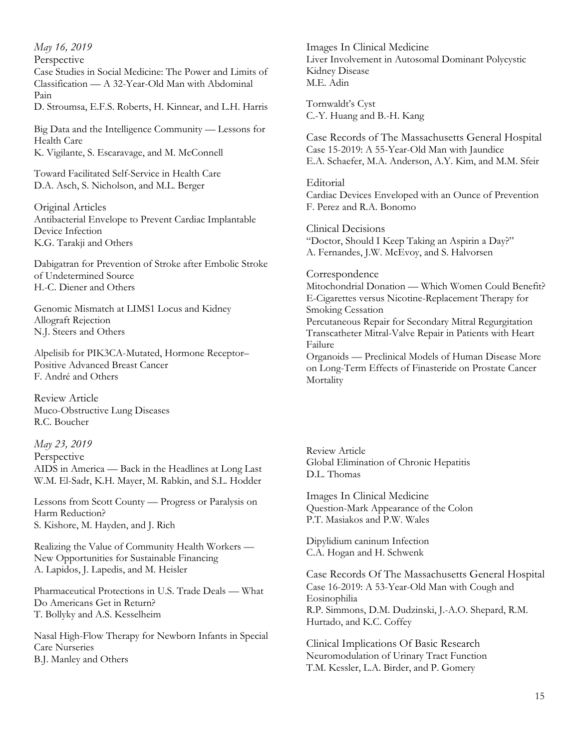*May 16, 2019* 

Perspective

Case Studies in Social Medicine: The Power and Limits of Classification — A 32-Year-Old Man with Abdominal Pain

D. Stroumsa, E.F.S. Roberts, H. Kinnear, and L.H. Harris

Big Data and the Intelligence Community — Lessons for Health Care K. Vigilante, S. Escaravage, and M. McConnell

Toward Facilitated Self-Service in Health Care D.A. Asch, S. Nicholson, and M.L. Berger

Original Articles Antibacterial Envelope to Prevent Cardiac Implantable Device Infection K.G. Tarakji and Others

Dabigatran for Prevention of Stroke after Embolic Stroke of Undetermined Source H.-C. Diener and Others

Genomic Mismatch at LIMS1 Locus and Kidney Allograft Rejection N.J. Steers and Others

Alpelisib for PIK3CA-Mutated, Hormone Receptor– Positive Advanced Breast Cancer F. André and Others

Review Article Muco-Obstructive Lung Diseases R.C. Boucher

*May 23, 2019*  Perspective AIDS in America — Back in the Headlines at Long Last W.M. El-Sadr, K.H. Mayer, M. Rabkin, and S.L. Hodder

Lessons from Scott County — Progress or Paralysis on Harm Reduction? S. Kishore, M. Hayden, and J. Rich

Realizing the Value of Community Health Workers — New Opportunities for Sustainable Financing A. Lapidos, J. Lapedis, and M. Heisler

Pharmaceutical Protections in U.S. Trade Deals — What Do Americans Get in Return? T. Bollyky and A.S. Kesselheim

Nasal High-Flow Therapy for Newborn Infants in Special Care Nurseries B.J. Manley and Others

Images In Clinical Medicine Liver Involvement in Autosomal Dominant Polycystic Kidney Disease M.E. Adin

Tornwaldt's Cyst C.-Y. Huang and B.-H. Kang

Case Records of The Massachusetts General Hospital Case 15-2019: A 55-Year-Old Man with Jaundice E.A. Schaefer, M.A. Anderson, A.Y. Kim, and M.M. Sfeir

**Editorial** Cardiac Devices Enveloped with an Ounce of Prevention F. Perez and R.A. Bonomo

Clinical Decisions "Doctor, Should I Keep Taking an Aspirin a Day?" A. Fernandes, J.W. McEvoy, and S. Halvorsen

Correspondence Mitochondrial Donation — Which Women Could Benefit? E-Cigarettes versus Nicotine-Replacement Therapy for Smoking Cessation Percutaneous Repair for Secondary Mitral Regurgitation Transcatheter Mitral-Valve Repair in Patients with Heart Failure Organoids — Preclinical Models of Human Disease More on Long-Term Effects of Finasteride on Prostate Cancer **Mortality** 

Review Article Global Elimination of Chronic Hepatitis D.L. Thomas

Images In Clinical Medicine Question-Mark Appearance of the Colon P.T. Masiakos and P.W. Wales

Dipylidium caninum Infection C.A. Hogan and H. Schwenk

Case Records Of The Massachusetts General Hospital Case 16-2019: A 53-Year-Old Man with Cough and Eosinophilia R.P. Simmons, D.M. Dudzinski, J.-A.O. Shepard, R.M. Hurtado, and K.C. Coffey

Clinical Implications Of Basic Research Neuromodulation of Urinary Tract Function T.M. Kessler, L.A. Birder, and P. Gomery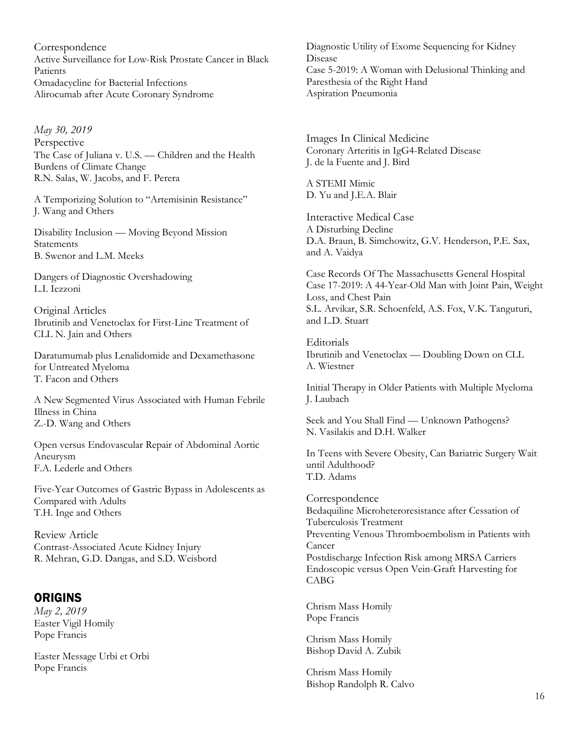Correspondence Active Surveillance for Low-Risk Prostate Cancer in Black Patients Omadacycline for Bacterial Infections Alirocumab after Acute Coronary Syndrome

*May 30, 2019*  Perspective The Case of Juliana v. U.S. — Children and the Health Burdens of Climate Change R.N. Salas, W. Jacobs, and F. Perera

A Temporizing Solution to "Artemisinin Resistance" J. Wang and Others

Disability Inclusion — Moving Beyond Mission **Statements** B. Swenor and L.M. Meeks

Dangers of Diagnostic Overshadowing L.I. Iezzoni

Original Articles Ibrutinib and Venetoclax for First-Line Treatment of CLL N. Jain and Others

Daratumumab plus Lenalidomide and Dexamethasone for Untreated Myeloma T. Facon and Others

A New Segmented Virus Associated with Human Febrile Illness in China Z.-D. Wang and Others

Open versus Endovascular Repair of Abdominal Aortic Aneurysm F.A. Lederle and Others

Five-Year Outcomes of Gastric Bypass in Adolescents as Compared with Adults T.H. Inge and Others

Review Article Contrast-Associated Acute Kidney Injury R. Mehran, G.D. Dangas, and S.D. Weisbord

## **ORIGINS**

*May 2, 2019*  Easter Vigil Homily Pope Francis

Easter Message Urbi et Orbi Pope Francis

Diagnostic Utility of Exome Sequencing for Kidney Disease Case 5-2019: A Woman with Delusional Thinking and Paresthesia of the Right Hand Aspiration Pneumonia

Images In Clinical Medicine Coronary Arteritis in IgG4-Related Disease J. de la Fuente and J. Bird

A STEMI Mimic D. Yu and J.E.A. Blair

Interactive Medical Case A Disturbing Decline D.A. Braun, B. Simchowitz, G.V. Henderson, P.E. Sax, and A. Vaidya

Case Records Of The Massachusetts General Hospital Case 17-2019: A 44-Year-Old Man with Joint Pain, Weight Loss, and Chest Pain S.L. Arvikar, S.R. Schoenfeld, A.S. Fox, V.K. Tanguturi, and L.D. Stuart

**Editorials** Ibrutinib and Venetoclax — Doubling Down on CLL A. Wiestner

Initial Therapy in Older Patients with Multiple Myeloma J. Laubach

Seek and You Shall Find — Unknown Pathogens? N. Vasilakis and D.H. Walker

In Teens with Severe Obesity, Can Bariatric Surgery Wait until Adulthood? T.D. Adams

Correspondence Bedaquiline Microheteroresistance after Cessation of Tuberculosis Treatment Preventing Venous Thromboembolism in Patients with Cancer Postdischarge Infection Risk among MRSA Carriers Endoscopic versus Open Vein-Graft Harvesting for CABG

Chrism Mass Homily Pope Francis

Chrism Mass Homily Bishop David A. Zubik

Chrism Mass Homily Bishop Randolph R. Calvo